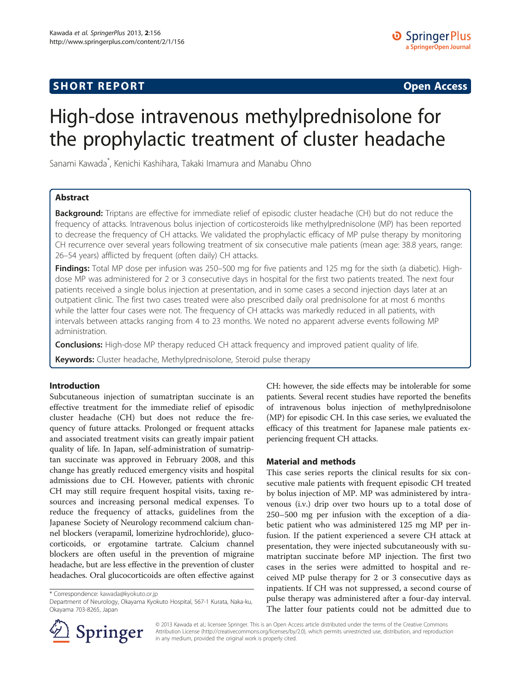# **SHORT REPORT SHORT CONSUMING THE CONSUMING THE CONSUMING THE CONSUMING THE CONSUMING THE CONSUMING THE CONSUMING THE CONSUMING THE CONSUMING THE CONSUMING THE CONSUMING THE CONSUMING THE CONSUMING THE CONSUMING THE CO**

# High-dose intravenous methylprednisolone for the prophylactic treatment of cluster headache

Sanami Kawada\* , Kenichi Kashihara, Takaki Imamura and Manabu Ohno

# Abstract

Background: Triptans are effective for immediate relief of episodic cluster headache (CH) but do not reduce the frequency of attacks. Intravenous bolus injection of corticosteroids like methylprednisolone (MP) has been reported to decrease the frequency of CH attacks. We validated the prophylactic efficacy of MP pulse therapy by monitoring CH recurrence over several years following treatment of six consecutive male patients (mean age: 38.8 years, range: 26–54 years) afflicted by frequent (often daily) CH attacks.

Findings: Total MP dose per infusion was 250–500 mg for five patients and 125 mg for the sixth (a diabetic). Highdose MP was administered for 2 or 3 consecutive days in hospital for the first two patients treated. The next four patients received a single bolus injection at presentation, and in some cases a second injection days later at an outpatient clinic. The first two cases treated were also prescribed daily oral prednisolone for at most 6 months while the latter four cases were not. The frequency of CH attacks was markedly reduced in all patients, with intervals between attacks ranging from 4 to 23 months. We noted no apparent adverse events following MP administration.

**Conclusions:** High-dose MP therapy reduced CH attack frequency and improved patient quality of life.

Keywords: Cluster headache, Methylprednisolone, Steroid pulse therapy

# Introduction

Subcutaneous injection of sumatriptan succinate is an effective treatment for the immediate relief of episodic cluster headache (CH) but does not reduce the frequency of future attacks. Prolonged or frequent attacks and associated treatment visits can greatly impair patient quality of life. In Japan, self-administration of sumatriptan succinate was approved in February 2008, and this change has greatly reduced emergency visits and hospital admissions due to CH. However, patients with chronic CH may still require frequent hospital visits, taxing resources and increasing personal medical expenses. To reduce the frequency of attacks, guidelines from the Japanese Society of Neurology recommend calcium channel blockers (verapamil, lomerizine hydrochloride), glucocorticoids, or ergotamine tartrate. Calcium channel blockers are often useful in the prevention of migraine headache, but are less effective in the prevention of cluster headaches. Oral glucocorticoids are often effective against

\* Correspondence: [kawada@kyokuto.or.jp](mailto:kawada@kyokuto.or.jp)



# Material and methods

This case series reports the clinical results for six consecutive male patients with frequent episodic CH treated by bolus injection of MP. MP was administered by intravenous (i.v.) drip over two hours up to a total dose of 250–500 mg per infusion with the exception of a diabetic patient who was administered 125 mg MP per infusion. If the patient experienced a severe CH attack at presentation, they were injected subcutaneously with sumatriptan succinate before MP injection. The first two cases in the series were admitted to hospital and received MP pulse therapy for 2 or 3 consecutive days as inpatients. If CH was not suppressed, a second course of pulse therapy was administered after a four-day interval. The latter four patients could not be admitted due to



© 2013 Kawada et al.; licensee Springer. This is an Open Access article distributed under the terms of the Creative Commons Attribution License [\(http://creativecommons.org/licenses/by/2.0\)](http://creativecommons.org/licenses/by/2.0), which permits unrestricted use, distribution, and reproduction in any medium, provided the original work is properly cited.

Department of Neurology, Okayama Kyokuto Hospital, 567-1 Kurata, Naka-ku, Okayama 703-8265, Japan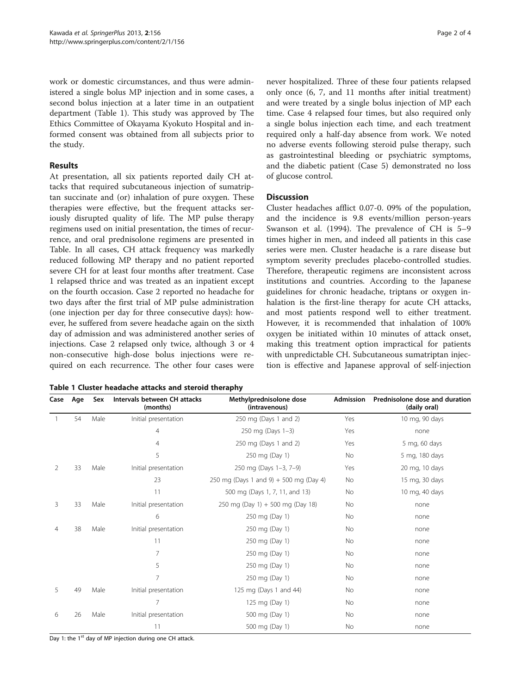work or domestic circumstances, and thus were administered a single bolus MP injection and in some cases, a second bolus injection at a later time in an outpatient department (Table 1). This study was approved by The Ethics Committee of Okayama Kyokuto Hospital and informed consent was obtained from all subjects prior to the study.

# Results

At presentation, all six patients reported daily CH attacks that required subcutaneous injection of sumatriptan succinate and (or) inhalation of pure oxygen. These therapies were effective, but the frequent attacks seriously disrupted quality of life. The MP pulse therapy regimens used on initial presentation, the times of recurrence, and oral prednisolone regimens are presented in Table. In all cases, CH attack frequency was markedly reduced following MP therapy and no patient reported severe CH for at least four months after treatment. Case 1 relapsed thrice and was treated as an inpatient except on the fourth occasion. Case 2 reported no headache for two days after the first trial of MP pulse administration (one injection per day for three consecutive days): however, he suffered from severe headache again on the sixth day of admission and was administered another series of injections. Case 2 relapsed only twice, although 3 or 4 non-consecutive high-dose bolus injections were required on each recurrence. The other four cases were

|  |  | Table 1 Cluster headache attacks and steroid theraphy |  |  |  |  |
|--|--|-------------------------------------------------------|--|--|--|--|
|--|--|-------------------------------------------------------|--|--|--|--|

never hospitalized. Three of these four patients relapsed only once (6, 7, and 11 months after initial treatment) and were treated by a single bolus injection of MP each time. Case 4 relapsed four times, but also required only a single bolus injection each time, and each treatment required only a half-day absence from work. We noted no adverse events following steroid pulse therapy, such as gastrointestinal bleeding or psychiatric symptoms, and the diabetic patient (Case 5) demonstrated no loss of glucose control.

# **Discussion**

Cluster headaches afflict 0.07-0. 09% of the population, and the incidence is 9.8 events/million person-years Swanson et al. ([1994\)](#page-3-0). The prevalence of CH is 5–9 times higher in men, and indeed all patients in this case series were men. Cluster headache is a rare disease but symptom severity precludes placebo-controlled studies. Therefore, therapeutic regimens are inconsistent across institutions and countries. According to the Japanese guidelines for chronic headache, triptans or oxygen inhalation is the first-line therapy for acute CH attacks, and most patients respond well to either treatment. However, it is recommended that inhalation of 100% oxygen be initiated within 10 minutes of attack onset, making this treatment option impractical for patients with unpredictable CH. Subcutaneous sumatriptan injection is effective and Japanese approval of self-injection

| Case | Age | Sex  | Intervals between CH attacks<br>(months) | Methylprednisolone dose<br>(intravenous) | <b>Admission</b> | Prednisolone dose and duration<br>(daily oral) |
|------|-----|------|------------------------------------------|------------------------------------------|------------------|------------------------------------------------|
|      | 54  | Male | Initial presentation                     | 250 mg (Days 1 and 2)                    | Yes              | 10 mg, 90 days                                 |
|      |     |      | 4                                        | 250 mg (Days 1-3)                        | Yes              | none                                           |
|      |     |      | 4                                        | 250 mg (Days 1 and 2)                    | Yes              | 5 mg, 60 days                                  |
|      |     |      | 5                                        | 250 mg (Day 1)                           | No               | 5 mg, 180 days                                 |
| 2    | 33  | Male | Initial presentation                     | 250 mg (Days 1-3, 7-9)                   | Yes              | 20 mg, 10 days                                 |
|      |     |      | 23                                       | 250 mg (Days 1 and 9) + 500 mg (Day 4)   | No               | 15 mg, 30 days                                 |
|      |     |      | 11                                       | 500 mg (Days 1, 7, 11, and 13)           | No               | 10 mg, 40 days                                 |
| 3    | 33  | Male | Initial presentation                     | 250 mg (Day 1) + 500 mg (Day 18)         | No               | none                                           |
|      |     |      | 6                                        | 250 mg (Day 1)                           | No               | none                                           |
| 4    | 38  | Male | Initial presentation                     | 250 mg (Day 1)                           | No               | none                                           |
|      |     |      | 11                                       | 250 mg (Day 1)                           | No               | none                                           |
|      |     |      | 7                                        | 250 mg (Day 1)                           | No               | none                                           |
|      |     |      | 5                                        | 250 mg (Day 1)                           | No               | none                                           |
|      |     |      | 7                                        | 250 mg (Day 1)                           | No               | none                                           |
| 5    | 49  | Male | Initial presentation                     | 125 mg (Days 1 and 44)                   | No               | none                                           |
|      |     |      | 7                                        | 125 mg (Day 1)                           | No               | none                                           |
| 6    | 26  | Male | Initial presentation                     | 500 mg (Day 1)                           | No               | none                                           |
|      |     |      | 11                                       | 500 mg (Day 1)                           | No               | none                                           |

Day 1: the 1<sup>st</sup> day of MP injection during one CH attack.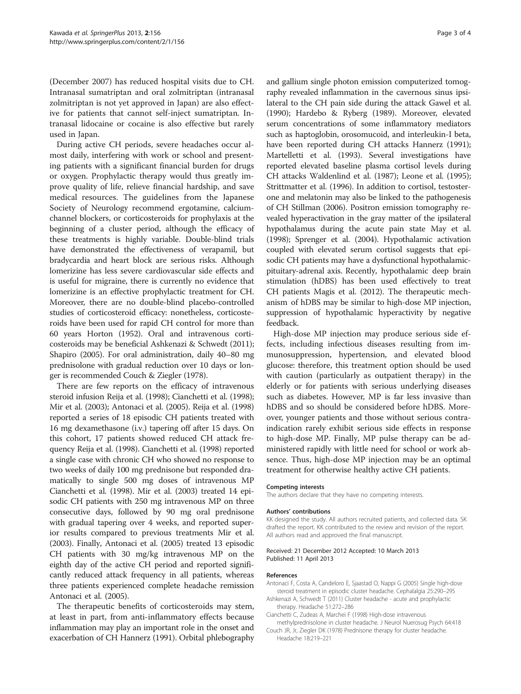(December 2007) has reduced hospital visits due to CH. Intranasal sumatriptan and oral zolmitriptan (intranasal zolmitriptan is not yet approved in Japan) are also effective for patients that cannot self-inject sumatriptan. Intranasal lidocaine or cocaine is also effective but rarely used in Japan.

During active CH periods, severe headaches occur almost daily, interfering with work or school and presenting patients with a significant financial burden for drugs or oxygen. Prophylactic therapy would thus greatly improve quality of life, relieve financial hardship, and save medical resources. The guidelines from the Japanese Society of Neurology recommend ergotamine, calciumchannel blockers, or corticosteroids for prophylaxis at the beginning of a cluster period, although the efficacy of these treatments is highly variable. Double-blind trials have demonstrated the effectiveness of verapamil, but bradycardia and heart block are serious risks. Although lomerizine has less severe cardiovascular side effects and is useful for migraine, there is currently no evidence that lomerizine is an effective prophylactic treatment for CH. Moreover, there are no double-blind placebo-controlled studies of corticosteroid efficacy: nonetheless, corticosteroids have been used for rapid CH control for more than 60 years Horton ([1952\)](#page-3-0). Oral and intravenous corticosteroids may be beneficial Ashkenazi & Schwedt (2011); Shapiro ([2005\)](#page-3-0). For oral administration, daily 40–80 mg prednisolone with gradual reduction over 10 days or longer is recommended Couch & Ziegler (1978).

There are few reports on the efficacy of intravenous steroid infusion Reija et al. ([1998\)](#page-3-0); Cianchetti et al. (1998); Mir et al. [\(2003](#page-3-0)); Antonaci et al. (2005). Reija et al. [\(1998](#page-3-0)) reported a series of 18 episodic CH patients treated with 16 mg dexamethasone (i.v.) tapering off after 15 days. On this cohort, 17 patients showed reduced CH attack frequency Reija et al. [\(1998](#page-3-0)). Cianchetti et al. (1998) reported a single case with chronic CH who showed no response to two weeks of daily 100 mg prednisone but responded dramatically to single 500 mg doses of intravenous MP Cianchetti et al. (1998). Mir et al. [\(2003\)](#page-3-0) treated 14 episodic CH patients with 250 mg intravenous MP on three consecutive days, followed by 90 mg oral prednisone with gradual tapering over 4 weeks, and reported superior results compared to previous treatments Mir et al. ([2003](#page-3-0)). Finally, Antonaci et al. (2005) treated 13 episodic CH patients with 30 mg/kg intravenous MP on the eighth day of the active CH period and reported significantly reduced attack frequency in all patients, whereas three patients experienced complete headache remission Antonaci et al. (2005).

The therapeutic benefits of corticosteroids may stem, at least in part, from anti-inflammatory effects because inflammation may play an important role in the onset and exacerbation of CH Hannerz ([1991](#page-3-0)). Orbital phlebography

and gallium single photon emission computerized tomography revealed inflammation in the cavernous sinus ipsilateral to the CH pain side during the attack Gawel et al. ([1990](#page-3-0)); Hardebo & Ryberg [\(1989](#page-3-0)). Moreover, elevated serum concentrations of some inflammatory mediators such as haptoglobin, orosomucoid, and interleukin-I beta, have been reported during CH attacks Hannerz [\(1991](#page-3-0)); Martelletti et al. ([1993\)](#page-3-0). Several investigations have reported elevated baseline plasma cortisol levels during CH attacks Waldenlind et al. [\(1987](#page-3-0)); Leone et al. [\(1995](#page-3-0)); Strittmatter et al. [\(1996](#page-3-0)). In addition to cortisol, testosterone and melatonin may also be linked to the pathogenesis of CH Stillman ([2006](#page-3-0)). Positron emission tomography revealed hyperactivation in the gray matter of the ipsilateral hypothalamus during the acute pain state May et al. ([1998](#page-3-0)); Sprenger et al. ([2004\)](#page-3-0). Hypothalamic activation coupled with elevated serum cortisol suggests that episodic CH patients may have a dysfunctional hypothalamicpituitary-adrenal axis. Recently, hypothalamic deep brain stimulation (hDBS) has been used effectively to treat CH patients Magis et al. ([2012](#page-3-0)). The therapeutic mechanism of hDBS may be similar to high-dose MP injection, suppression of hypothalamic hyperactivity by negative feedback.

High-dose MP injection may produce serious side effects, including infectious diseases resulting from immunosuppression, hypertension, and elevated blood glucose: therefore, this treatment option should be used with caution (particularly as outpatient therapy) in the elderly or for patients with serious underlying diseases such as diabetes. However, MP is far less invasive than hDBS and so should be considered before hDBS. Moreover, younger patients and those without serious contraindication rarely exhibit serious side effects in response to high-dose MP. Finally, MP pulse therapy can be administered rapidly with little need for school or work absence. Thus, high-dose MP injection may be an optimal treatment for otherwise healthy active CH patients.

#### Competing interests

The authors declare that they have no competing interests.

#### Authors' contributions

KK designed the study. All authors recruited patients, and collected data. SK drafted the report. KK contributed to the review and revision of the report. All authors read and approved the final manuscript.

### Received: 21 December 2012 Accepted: 10 March 2013 Published: 11 April 2013

#### References

Antonaci F, Costa A, Candeloro E, Sjaastad O, Nappi G (2005) Single high-dose steroid treatment in episodic cluster headache. Cephalalgia 25:290–295

- Ashkenazi A, Schwedt T (2011) Cluster headache acute and prophylactic therapy. Headache 51:272–286
- Cianchetti C, Zudeas A, Marchei F (1998) High-dose intravenous methylprednisolone in cluster headache. J Neurol Nuerosug Psych 64:418
- Couch JR, Jr, Ziegler DK (1978) Prednisone therapy for cluster headache. Headache 18:219–221